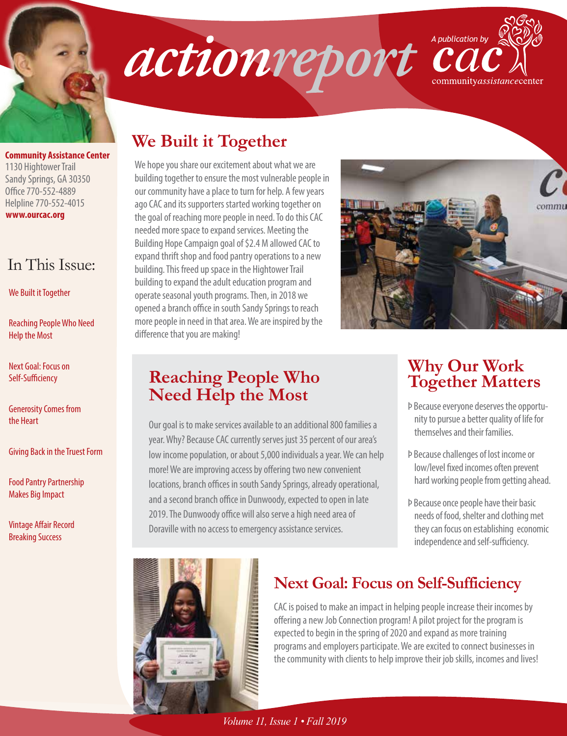

### **www.ourcac.org Community Assistance Center** 1130 Hightower Trail Sandy Springs, GA 30350 Office 770-552-4889 Helpline 770-552-4015

# In This Issue:

We Built it Together

Reaching People Who Need Help the Most

Next Goal: Focus on Self-Sufficiency

Generosity Comes from the Heart

Giving Back in the Truest Form

Food Pantry Partnership Makes Big Impact

Vintage Affair Record Breaking Success





# **We Built it Together**

We hope you share our excitement about what we are building together to ensure the most vulnerable people in our community have a place to turn for help. A few years ago CAC and its supporters started working together on the goal of reaching more people in need. To do this CAC needed more space to expand services. Meeting the Building Hope Campaign goal of \$2.4 M allowed CAC to expand thrift shop and food pantry operations to a new building. This freed up space in the Hightower Trail building to expand the adult education program and operate seasonal youth programs. Then, in 2018 we opened a branch office in south Sandy Springs to reach more people in need in that area. We are inspired by the difference that you are making!



## **Reaching People Who Need Help the Most**

Our goal is to make services available to an additional 800 families a year. Why? Because CAC currently serves just 35 percent of our area's low income population, or about 5,000 individuals a year. We can help more! We are improving access by offering two new convenient locations, branch offices in south Sandy Springs, already operational, and a second branch office in Dunwoody, expected to open in late 2019. The Dunwoody office will also serve a high need area of Doraville with no access to emergency assistance services.

# **Why Our Work Together Matters**

- Þ Because everyone deserves the opportunity to pursue a better quality of life for themselves and their families.
- Þ Because challenges of lost income or low/level fixed incomes often prevent hard working people from getting ahead.
- Þ Because once people have their basic needs of food, shelter and clothing met they can focus on establishing economic independence and self-sufficiency.



# **Next Goal: Focus on Self-Sufficiency**

CAC is poised to make an impact in helping people increase their incomes by offering a new Job Connection program! A pilot project for the program is expected to begin in the spring of 2020 and expand as more training programs and employers participate. We are excited to connect businesses in the community with clients to help improve their job skills, incomes and lives!

*Volume 11, Issue 1 • Fall 2019*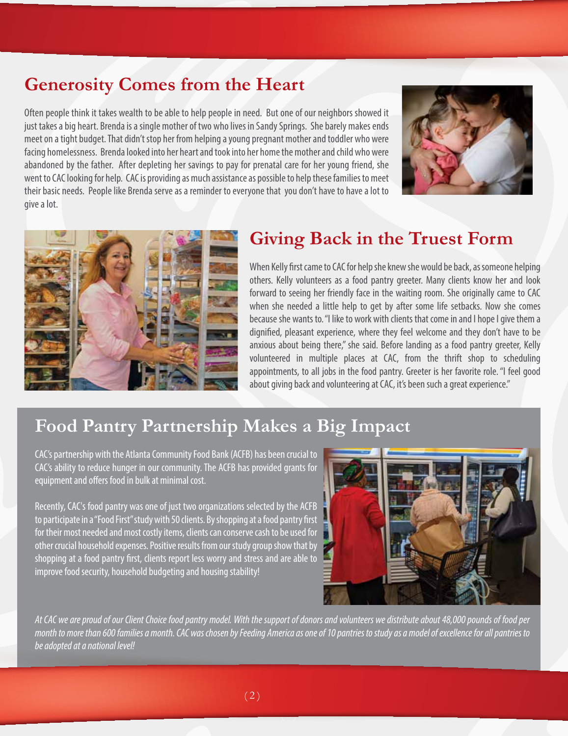# **Generosity Comes from the Heart**

Often people think it takes wealth to be able to help people in need. But one of our neighbors showed it just takes a big heart. Brenda is a single mother of two who lives in Sandy Springs. She barely makes ends meet on a tight budget. That didn't stop her from helping a young pregnant mother and toddler who were facing homelessness. Brenda looked into her heart and took into her home the mother and child who were abandoned by the father. After depleting her savings to pay for prenatal care for her young friend, she went to CAC looking for help. CAC is providing as much assistance as possible to help these families to meet their basic needs. People like Brenda serve as a reminder to everyone that you don't have to have a lot to give a lot.





# **Giving Back in the Truest Form**

When Kelly first came to CAC for help she knew she would be back, as someone helping others. Kelly volunteers as a food pantry greeter. Many clients know her and look forward to seeing her friendly face in the waiting room. She originally came to CAC when she needed a little help to get by after some life setbacks. Now she comes because she wants to. "I like to work with clients that come in and I hope I give them a dignified, pleasant experience, where they feel welcome and they don't have to be anxious about being there," she said. Before landing as a food pantry greeter, Kelly volunteered in multiple places at CAC, from the thrift shop to scheduling appointments, to all jobs in the food pantry. Greeter is her favorite role. "I feel good about giving back and volunteering at CAC, it's been such a great experience."

## **Food Pantry Partnership Makes a Big Impact**

CAC's partnership with the Atlanta Community Food Bank (ACFB) has been crucial to CAC's ability to reduce hunger in our community. The ACFB has provided grants for equipment and offers food in bulk at minimal cost.

Recently, CAC's food pantry was one of just two organizations selected by the ACFB to participate in a "Food First" study with 50 clients. By shopping at a food pantry first for their most needed and most costly items, clients can conserve cash to be used for other crucial household expenses. Positive results from our study group show that by shopping at a food pantry first, clients report less worry and stress and are able to improve food security, household budgeting and housing stability!



*At CAC we are proud of our Client Choice food pantry model. With the support of donors and volunteers we distribute about 48,000 pounds of food per month to more than 600 families a month. CAC was chosen by Feeding America as one of 10 pantries to study as a model of excellence for all pantries to be adopted at a national level!*

 $\overline{\phantom{a}}$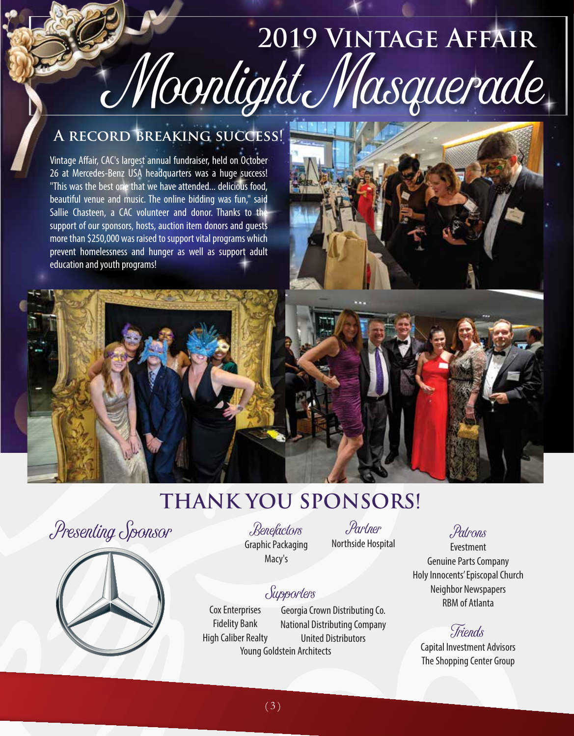# Moonlight Masquerade **2019 Vintage Affair**

# **A record breaking success!**

Vintage Affair, CAC's largest annual fundraiser, held on October 26 at Mercedes-Benz USA headquarters was a huge success! "This was the best one that we have attended... delicious food, beautiful venue and music. The online bidding was fun," said Sallie Chasteen, a CAC volunteer and donor. Thanks to the support of our sponsors, hosts, auction item donors and guests more than \$250,000 was raised to support vital programs which prevent homelessness and hunger as well as support adult education and youth programs!



# **Thank You Sponsors!**

Presenting Sponsor Benefactors Partner



Benefactors Graphic Packaging Macy's

Northside Hospital

# Supporters

Cox Enterprises Fidelity Bank Figh Caliber Realty Fractional Distributions Company<br>High Caliber Realty Friends Georgia Crown Distributing Co. National Distributing Company United Distributors Young Goldstein Architects

# Patrons

Evestment Genuine Parts Company Holy Innocents' Episcopal Church Neighbor Newspapers RBM of Atlanta

Capital Investment Advisors The Shopping Center Group

 $(3)$